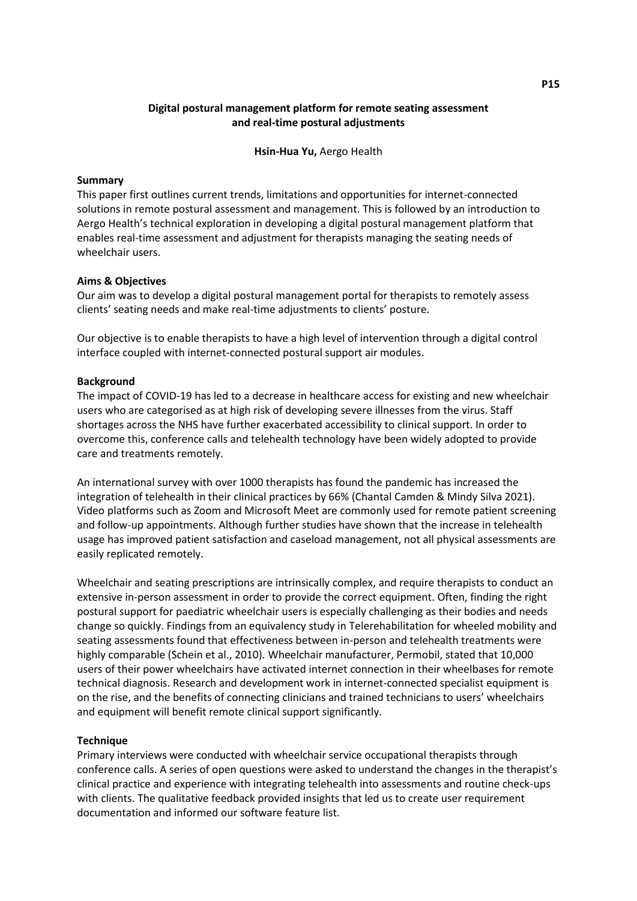# **Digital postural management platform for remote seating assessment and real-time postural adjustments**

**Hsin-Hua Yu,** Aergo Health

#### **Summary**

This paper first outlines current trends, limitations and opportunities for internet-connected solutions in remote postural assessment and management. This is followed by an introduction to Aergo Health's technical exploration in developing a digital postural management platform that enables real-time assessment and adjustment for therapists managing the seating needs of wheelchair users.

#### **Aims & Objectives**

Our aim was to develop a digital postural management portal for therapists to remotely assess clients' seating needs and make real-time adjustments to clients' posture.

Our objective is to enable therapists to have a high level of intervention through a digital control interface coupled with internet-connected postural support air modules.

#### **Background**

The impact of COVID-19 has led to a decrease in healthcare access for existing and new wheelchair users who are categorised as at high risk of developing severe illnesses from the virus. Staff shortages across the NHS have further exacerbated accessibility to clinical support. In order to overcome this, conference calls and telehealth technology have been widely adopted to provide care and treatments remotely.

An international survey with over 1000 therapists has found the pandemic has increased the integration of telehealth in their clinical practices by 66% (Chantal Camden & Mindy Silva 2021). Video platforms such as Zoom and Microsoft Meet are commonly used for remote patient screening and follow-up appointments. Although further studies have shown that the increase in telehealth usage has improved patient satisfaction and caseload management, not all physical assessments are easily replicated remotely.

Wheelchair and seating prescriptions are intrinsically complex, and require therapists to conduct an extensive in-person assessment in order to provide the correct equipment. Often, finding the right postural support for paediatric wheelchair users is especially challenging as their bodies and needs change so quickly. Findings from an equivalency study in Telerehabilitation for wheeled mobility and seating assessments found that effectiveness between in-person and telehealth treatments were highly comparable (Schein et al., 2010). Wheelchair manufacturer, Permobil, stated that 10,000 users of their power wheelchairs have activated internet connection in their wheelbases for remote technical diagnosis. Research and development work in internet-connected specialist equipment is on the rise, and the benefits of connecting clinicians and trained technicians to users' wheelchairs and equipment will benefit remote clinical support significantly.

### **Technique**

Primary interviews were conducted with wheelchair service occupational therapists through conference calls. A series of open questions were asked to understand the changes in the therapist's clinical practice and experience with integrating telehealth into assessments and routine check-ups with clients. The qualitative feedback provided insights that led us to create user requirement documentation and informed our software feature list.